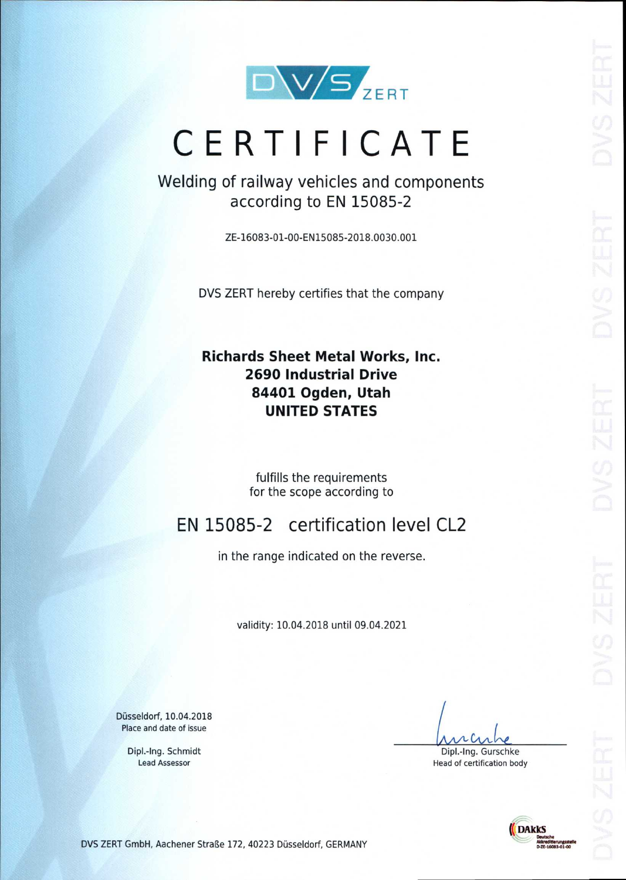

# **CERTIFICATE**

Welding of railway vehicles and components according to EN 15085-2

ZE-16083-01-00-EN15085-2018.0030.001

DVS ZERT hereby certifies that the company

## **Richards Sheet Metal Works, Inc. 2690 Industrial Drive 84401 Ogden, Utah UNITED STATES**

fulfills the requirements for the scope according to

## EN 15085-2 certification level CL2

in the range indicated on the reverse.

validity: 10.04.2018 until 09.04.2021

Dusseldorf, 10.04.2018 Place and date of issue

> Dipl.-Ing. Schmidt Lead Assessor

CAA-

Dipl.-Ing. Gurschke Head of certification body